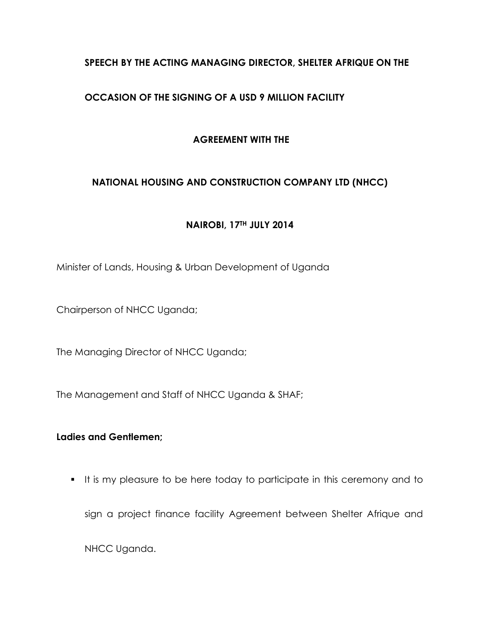# **SPEECH BY THE ACTING MANAGING DIRECTOR, SHELTER AFRIQUE ON THE**

# **OCCASION OF THE SIGNING OF A USD 9 MILLION FACILITY**

### **AGREEMENT WITH THE**

# **NATIONAL HOUSING AND CONSTRUCTION COMPANY LTD (NHCC)**

### **NAIROBI, 17TH JULY 2014**

Minister of Lands, Housing & Urban Development of Uganda

Chairperson of NHCC Uganda;

The Managing Director of NHCC Uganda;

The Management and Staff of NHCC Uganda & SHAF;

### **Ladies and Gentlemen;**

It is my pleasure to be here today to participate in this ceremony and to

sign a project finance facility Agreement between Shelter Afrique and

NHCC Uganda.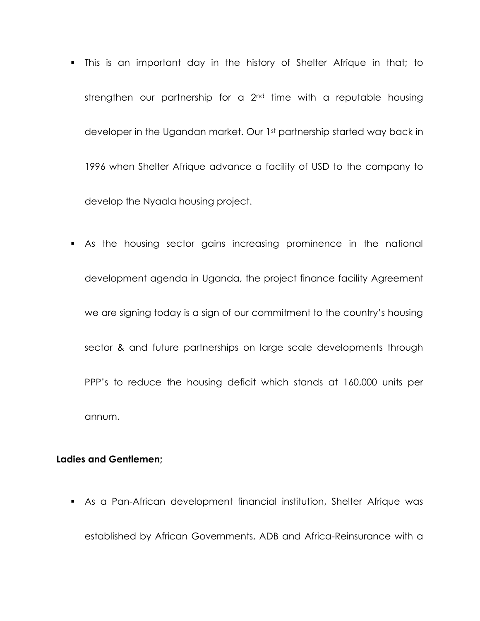- This is an important day in the history of Shelter Afrique in that; to strengthen our partnership for a 2<sup>nd</sup> time with a reputable housing developer in the Ugandan market. Our 1st partnership started way back in 1996 when Shelter Afrique advance a facility of USD to the company to develop the Nyaala housing project.
- As the housing sector gains increasing prominence in the national development agenda in Uganda, the project finance facility Agreement we are signing today is a sign of our commitment to the country's housing sector & and future partnerships on large scale developments through PPP's to reduce the housing deficit which stands at 160,000 units per annum.

#### **Ladies and Gentlemen;**

 As a Pan-African development financial institution, Shelter Afrique was established by African Governments, ADB and Africa-Reinsurance with a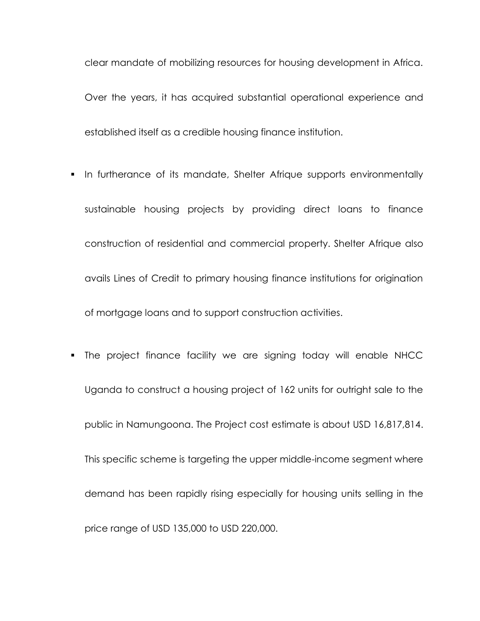clear mandate of mobilizing resources for housing development in Africa. Over the years, it has acquired substantial operational experience and established itself as a credible housing finance institution.

- **In furtherance of its mandate, Shelter Afrique supports environmentally** sustainable housing projects by providing direct loans to finance construction of residential and commercial property. Shelter Afrique also avails Lines of Credit to primary housing finance institutions for origination of mortgage loans and to support construction activities.
- The project finance facility we are signing today will enable NHCC Uganda to construct a housing project of 162 units for outright sale to the public in Namungoona. The Project cost estimate is about USD 16,817,814. This specific scheme is targeting the upper middle-income segment where demand has been rapidly rising especially for housing units selling in the price range of USD 135,000 to USD 220,000.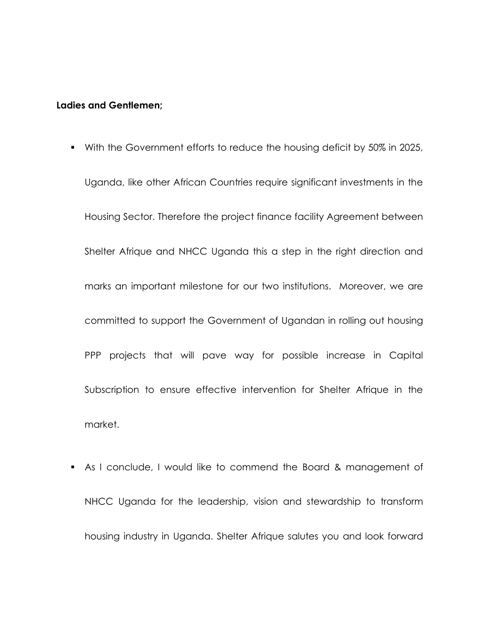#### **Ladies and Gentlemen;**

- With the Government efforts to reduce the housing deficit by 50% in 2025, Uganda, like other African Countries require significant investments in the Housing Sector. Therefore the project finance facility Agreement between Shelter Afrique and NHCC Uganda this a step in the right direction and marks an important milestone for our two institutions. Moreover, we are committed to support the Government of Ugandan in rolling out housing PPP projects that will pave way for possible increase in Capital Subscription to ensure effective intervention for Shelter Afrique in the market.
- As I conclude, I would like to commend the Board & management of NHCC Uganda for the leadership, vision and stewardship to transform housing industry in Uganda. Shelter Afrique salutes you and look forward